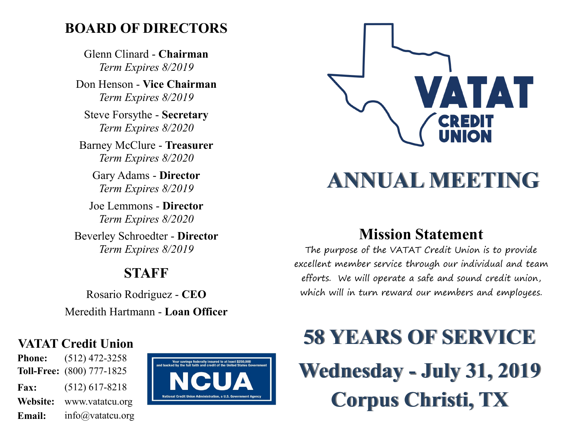### **BOARD OF DIRECTORS**

Glenn Clinard - **Chairman** *Term Expires 8/2019*

Don Henson - **Vice Chairman** *Term Expires 8/2019*

Steve Forsythe - **Secretary** *Term Expires 8/2020*

Barney McClure - **Treasurer** *Term Expires 8/2020*

Gary Adams - **Director** *Term Expires 8/2019*

Joe Lemmons - **Director** *Term Expires 8/2020*

Beverley Schroedter - **Director** *Term Expires 8/2019*

### **STAFF**

Rosario Rodriguez - **CEO** Meredith Hartmann - **Loan Officer**

#### **VATAT Credit Union**

**Phone:** (512) 472-3258 **Toll-Free:** (800) 777-1825 **Fax:** (512) 617-8218 **Website:** www.vatatcu.org **Email:** info@vatatcu.org





## **ANNUAL MEETING**

### **Mission Statement**

The purpose of the VATAT Credit Union is to provide excellent member service through our individual and team efforts. We will operate a safe and sound credit union, which will in turn reward our members and employees.

# **58 YEARS OF SERVICE Wednesday - July 31, 2019 Corpus Christi, TX**